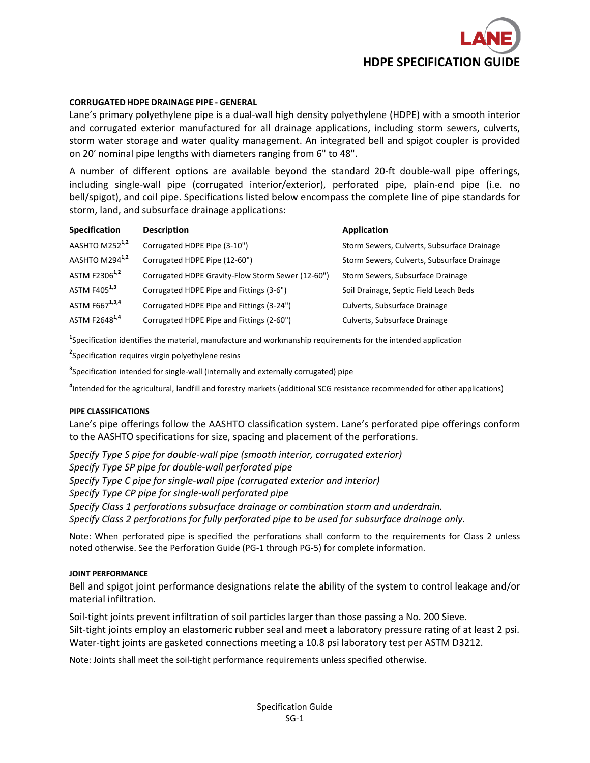

# **CORRUGATED HDPE DRAINAGE PIPE ‐ GENERAL**

Lane's primary polyethylene pipe is a dual‐wall high density polyethylene (HDPE) with a smooth interior and corrugated exterior manufactured for all drainage applications, including storm sewers, culverts, storm water storage and water quality management. An integrated bell and spigot coupler is provided on 20′ nominal pipe lengths with diameters ranging from 6" to 48".

A number of different options are available beyond the standard 20‐ft double‐wall pipe offerings, including single‐wall pipe (corrugated interior/exterior), perforated pipe, plain‐end pipe (i.e. no bell/spigot), and coil pipe. Specifications listed below encompass the complete line of pipe standards for storm, land, and subsurface drainage applications:

| <b>Specification</b>       | <b>Description</b>                                | Application                                 |
|----------------------------|---------------------------------------------------|---------------------------------------------|
| AASHTO M252 <sup>1,2</sup> | Corrugated HDPE Pipe (3-10")                      | Storm Sewers, Culverts, Subsurface Drainage |
| AASHTO M294 <sup>1,2</sup> | Corrugated HDPE Pipe (12-60")                     | Storm Sewers, Culverts, Subsurface Drainage |
| ASTM F2306 <sup>1,2</sup>  | Corrugated HDPE Gravity-Flow Storm Sewer (12-60") | Storm Sewers, Subsurface Drainage           |
| ASTM F405 <sup>1,3</sup>   | Corrugated HDPE Pipe and Fittings (3-6")          | Soil Drainage, Septic Field Leach Beds      |
| ASTM F667 <sup>1,3,4</sup> | Corrugated HDPE Pipe and Fittings (3-24")         | Culverts, Subsurface Drainage               |
| ASTM F2648 <sup>1,4</sup>  | Corrugated HDPE Pipe and Fittings (2-60")         | Culverts, Subsurface Drainage               |

**1** Specification identifies the material, manufacture and workmanship requirements for the intended application

**2** Specification requires virgin polyethylene resins

**3** Specification intended for single‐wall (internally and externally corrugated) pipe

**4** Intended for the agricultural, landfill and forestry markets (additional SCG resistance recommended for other applications)

### **PIPE CLASSIFICATIONS**

Lane's pipe offerings follow the AASHTO classification system. Lane's perforated pipe offerings conform to the AASHTO specifications for size, spacing and placement of the perforations.

*Specify Type S pipe for double‐wall pipe (smooth interior, corrugated exterior) Specify Type SP pipe for double‐wall perforated pipe Specify Type C pipe for single‐wall pipe (corrugated exterior and interior) Specify Type CP pipe for single‐wall perforated pipe Specify Class 1 perforations subsurface drainage or combination storm and underdrain. Specify Class 2 perforations for fully perforated pipe to be used for subsurface drainage only.*

Note: When perforated pipe is specified the perforations shall conform to the requirements for Class 2 unless noted otherwise. See the Perforation Guide (PG‐1 through PG‐5) for complete information.

### **JOINT PERFORMANCE**

Bell and spigot joint performance designations relate the ability of the system to control leakage and/or material infiltration.

Soil‐tight joints prevent infiltration of soil particles larger than those passing a No. 200 Sieve. Silt-tight joints employ an elastomeric rubber seal and meet a laboratory pressure rating of at least 2 psi. Water-tight joints are gasketed connections meeting a 10.8 psi laboratory test per ASTM D3212.

Note: Joints shall meet the soil‐tight performance requirements unless specified otherwise.